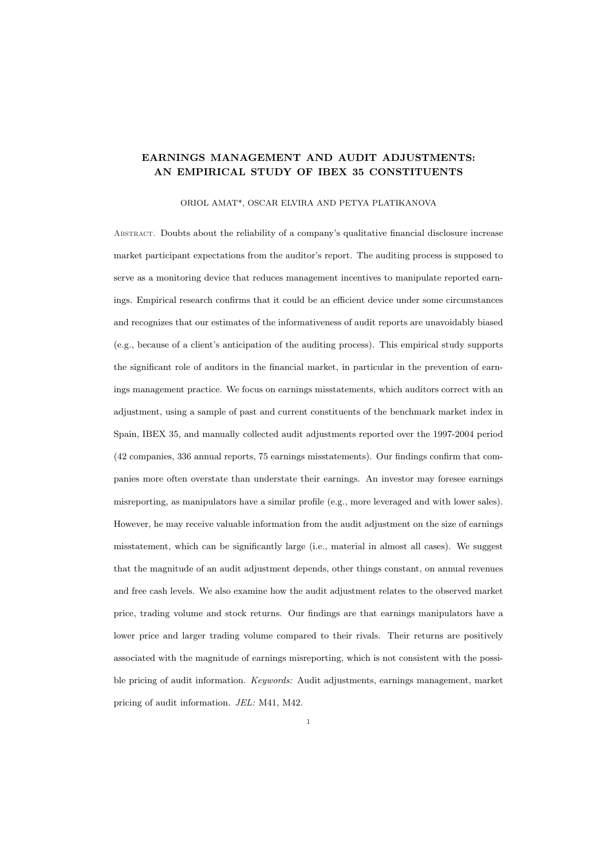# EARNINGS MANAGEMENT AND AUDIT ADJUSTMENTS: AN EMPIRICAL STUDY OF IBEX 35 CONSTITUENTS

#### ORIOL AMAT\*, OSCAR ELVIRA AND PETYA PLATIKANOVA

Abstract. Doubts about the reliability of a company's qualitative financial disclosure increase market participant expectations from the auditor's report. The auditing process is supposed to serve as a monitoring device that reduces management incentives to manipulate reported earnings. Empirical research confirms that it could be an efficient device under some circumstances and recognizes that our estimates of the informativeness of audit reports are unavoidably biased (e.g., because of a client's anticipation of the auditing process). This empirical study supports the significant role of auditors in the financial market, in particular in the prevention of earnings management practice. We focus on earnings misstatements, which auditors correct with an adjustment, using a sample of past and current constituents of the benchmark market index in Spain, IBEX 35, and manually collected audit adjustments reported over the 1997-2004 period (42 companies, 336 annual reports, 75 earnings misstatements). Our findings confirm that companies more often overstate than understate their earnings. An investor may foresee earnings misreporting, as manipulators have a similar profile (e.g., more leveraged and with lower sales). However, he may receive valuable information from the audit adjustment on the size of earnings misstatement, which can be significantly large (i.e., material in almost all cases). We suggest that the magnitude of an audit adjustment depends, other things constant, on annual revenues and free cash levels. We also examine how the audit adjustment relates to the observed market price, trading volume and stock returns. Our findings are that earnings manipulators have a lower price and larger trading volume compared to their rivals. Their returns are positively associated with the magnitude of earnings misreporting, which is not consistent with the possible pricing of audit information. Keywords: Audit adjustments, earnings management, market pricing of audit information. JEL: M41, M42.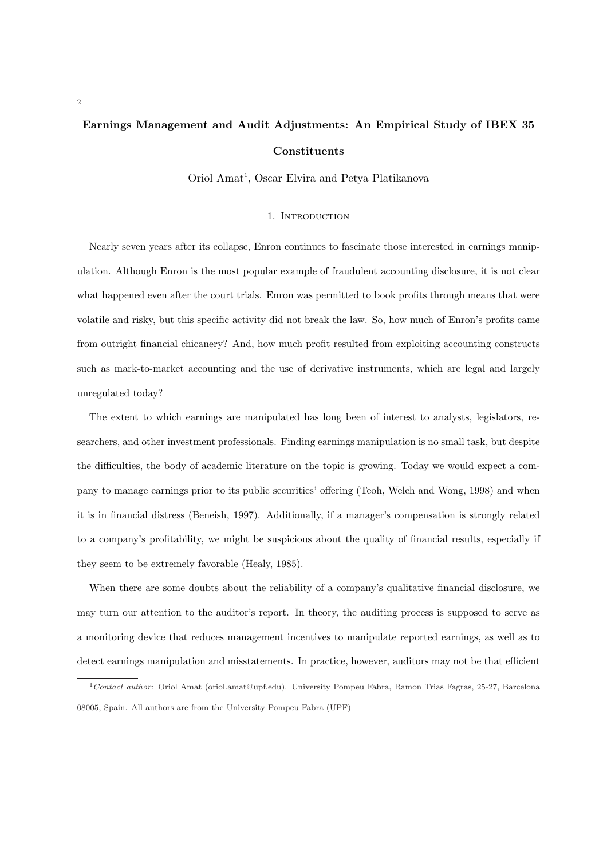# Earnings Management and Audit Adjustments: An Empirical Study of IBEX 35 Constituents

Oriol Amat<sup>1</sup>, Oscar Elvira and Petya Platikanova

#### 1. INTRODUCTION

Nearly seven years after its collapse, Enron continues to fascinate those interested in earnings manipulation. Although Enron is the most popular example of fraudulent accounting disclosure, it is not clear what happened even after the court trials. Enron was permitted to book profits through means that were volatile and risky, but this specific activity did not break the law. So, how much of Enron's profits came from outright financial chicanery? And, how much profit resulted from exploiting accounting constructs such as mark-to-market accounting and the use of derivative instruments, which are legal and largely unregulated today?

The extent to which earnings are manipulated has long been of interest to analysts, legislators, researchers, and other investment professionals. Finding earnings manipulation is no small task, but despite the difficulties, the body of academic literature on the topic is growing. Today we would expect a company to manage earnings prior to its public securities' offering (Teoh, Welch and Wong, 1998) and when it is in financial distress (Beneish, 1997). Additionally, if a manager's compensation is strongly related to a company's profitability, we might be suspicious about the quality of financial results, especially if they seem to be extremely favorable (Healy, 1985).

When there are some doubts about the reliability of a company's qualitative financial disclosure, we may turn our attention to the auditor's report. In theory, the auditing process is supposed to serve as a monitoring device that reduces management incentives to manipulate reported earnings, as well as to detect earnings manipulation and misstatements. In practice, however, auditors may not be that efficient

 $1$ Contact author: Oriol Amat (oriol.amat@upf.edu). University Pompeu Fabra, Ramon Trias Fagras, 25-27, Barcelona 08005, Spain. All authors are from the University Pompeu Fabra (UPF)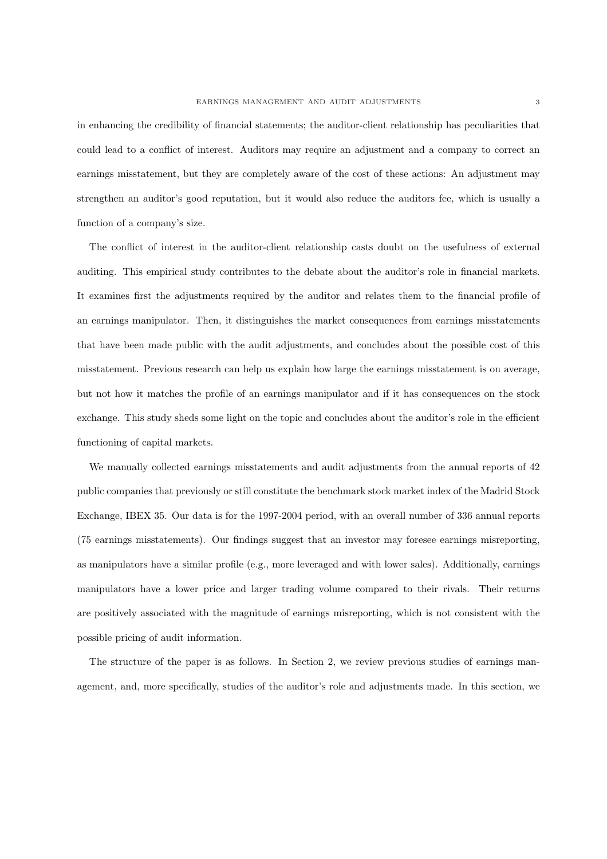in enhancing the credibility of financial statements; the auditor-client relationship has peculiarities that could lead to a conflict of interest. Auditors may require an adjustment and a company to correct an earnings misstatement, but they are completely aware of the cost of these actions: An adjustment may strengthen an auditor's good reputation, but it would also reduce the auditors fee, which is usually a function of a company's size.

The conflict of interest in the auditor-client relationship casts doubt on the usefulness of external auditing. This empirical study contributes to the debate about the auditor's role in financial markets. It examines first the adjustments required by the auditor and relates them to the financial profile of an earnings manipulator. Then, it distinguishes the market consequences from earnings misstatements that have been made public with the audit adjustments, and concludes about the possible cost of this misstatement. Previous research can help us explain how large the earnings misstatement is on average, but not how it matches the profile of an earnings manipulator and if it has consequences on the stock exchange. This study sheds some light on the topic and concludes about the auditor's role in the efficient functioning of capital markets.

We manually collected earnings misstatements and audit adjustments from the annual reports of 42 public companies that previously or still constitute the benchmark stock market index of the Madrid Stock Exchange, IBEX 35. Our data is for the 1997-2004 period, with an overall number of 336 annual reports (75 earnings misstatements). Our findings suggest that an investor may foresee earnings misreporting, as manipulators have a similar profile (e.g., more leveraged and with lower sales). Additionally, earnings manipulators have a lower price and larger trading volume compared to their rivals. Their returns are positively associated with the magnitude of earnings misreporting, which is not consistent with the possible pricing of audit information.

The structure of the paper is as follows. In Section 2, we review previous studies of earnings management, and, more specifically, studies of the auditor's role and adjustments made. In this section, we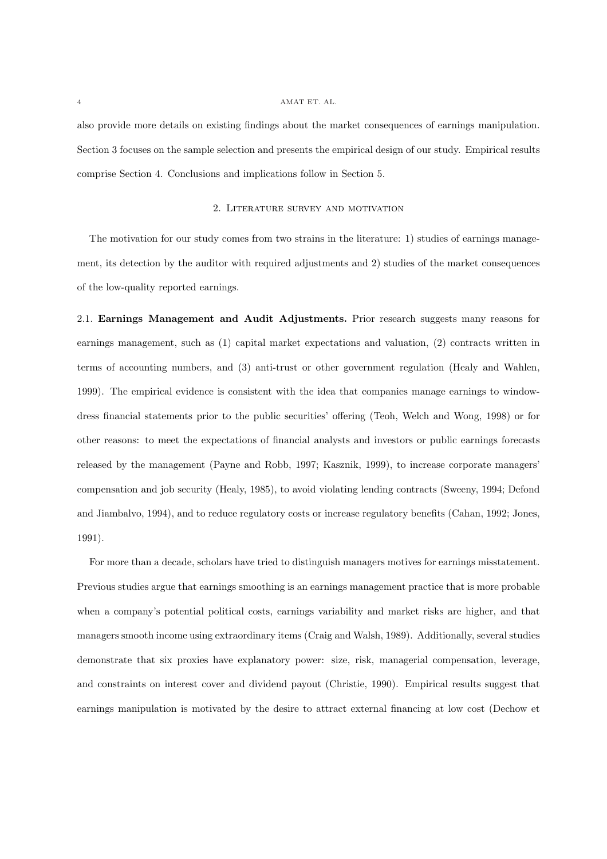also provide more details on existing findings about the market consequences of earnings manipulation. Section 3 focuses on the sample selection and presents the empirical design of our study. Empirical results comprise Section 4. Conclusions and implications follow in Section 5.

## 2. Literature survey and motivation

The motivation for our study comes from two strains in the literature: 1) studies of earnings management, its detection by the auditor with required adjustments and 2) studies of the market consequences of the low-quality reported earnings.

2.1. Earnings Management and Audit Adjustments. Prior research suggests many reasons for earnings management, such as (1) capital market expectations and valuation, (2) contracts written in terms of accounting numbers, and (3) anti-trust or other government regulation (Healy and Wahlen, 1999). The empirical evidence is consistent with the idea that companies manage earnings to windowdress financial statements prior to the public securities' offering (Teoh, Welch and Wong, 1998) or for other reasons: to meet the expectations of financial analysts and investors or public earnings forecasts released by the management (Payne and Robb, 1997; Kasznik, 1999), to increase corporate managers' compensation and job security (Healy, 1985), to avoid violating lending contracts (Sweeny, 1994; Defond and Jiambalvo, 1994), and to reduce regulatory costs or increase regulatory benefits (Cahan, 1992; Jones, 1991).

For more than a decade, scholars have tried to distinguish managers motives for earnings misstatement. Previous studies argue that earnings smoothing is an earnings management practice that is more probable when a company's potential political costs, earnings variability and market risks are higher, and that managers smooth income using extraordinary items (Craig and Walsh, 1989). Additionally, several studies demonstrate that six proxies have explanatory power: size, risk, managerial compensation, leverage, and constraints on interest cover and dividend payout (Christie, 1990). Empirical results suggest that earnings manipulation is motivated by the desire to attract external financing at low cost (Dechow et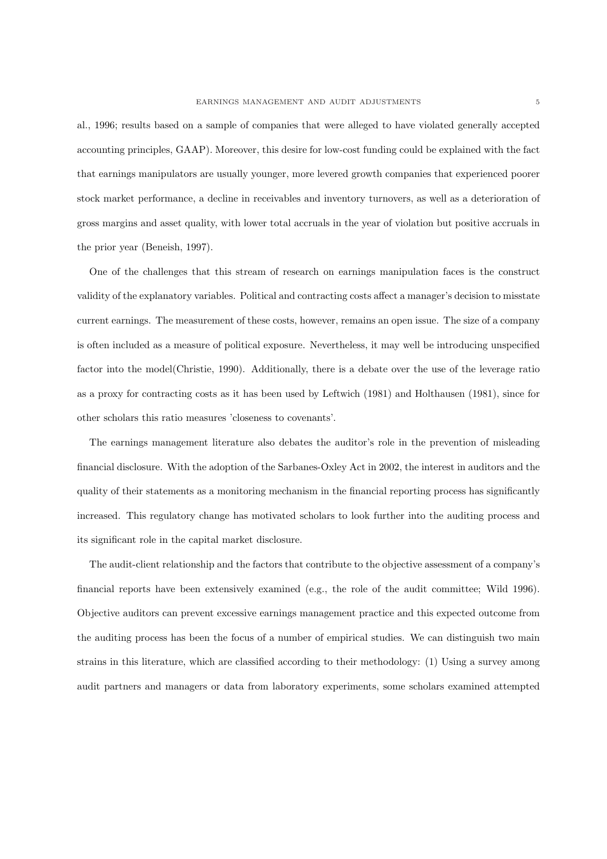al., 1996; results based on a sample of companies that were alleged to have violated generally accepted accounting principles, GAAP). Moreover, this desire for low-cost funding could be explained with the fact that earnings manipulators are usually younger, more levered growth companies that experienced poorer stock market performance, a decline in receivables and inventory turnovers, as well as a deterioration of gross margins and asset quality, with lower total accruals in the year of violation but positive accruals in the prior year (Beneish, 1997).

One of the challenges that this stream of research on earnings manipulation faces is the construct validity of the explanatory variables. Political and contracting costs affect a manager's decision to misstate current earnings. The measurement of these costs, however, remains an open issue. The size of a company is often included as a measure of political exposure. Nevertheless, it may well be introducing unspecified factor into the model(Christie, 1990). Additionally, there is a debate over the use of the leverage ratio as a proxy for contracting costs as it has been used by Leftwich (1981) and Holthausen (1981), since for other scholars this ratio measures 'closeness to covenants'.

The earnings management literature also debates the auditor's role in the prevention of misleading financial disclosure. With the adoption of the Sarbanes-Oxley Act in 2002, the interest in auditors and the quality of their statements as a monitoring mechanism in the financial reporting process has significantly increased. This regulatory change has motivated scholars to look further into the auditing process and its significant role in the capital market disclosure.

The audit-client relationship and the factors that contribute to the objective assessment of a company's financial reports have been extensively examined (e.g., the role of the audit committee; Wild 1996). Objective auditors can prevent excessive earnings management practice and this expected outcome from the auditing process has been the focus of a number of empirical studies. We can distinguish two main strains in this literature, which are classified according to their methodology: (1) Using a survey among audit partners and managers or data from laboratory experiments, some scholars examined attempted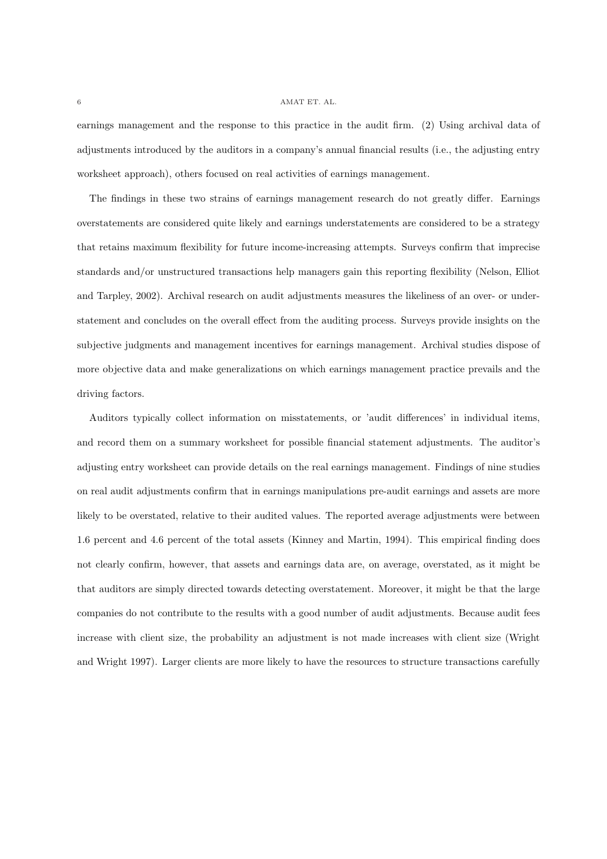earnings management and the response to this practice in the audit firm. (2) Using archival data of adjustments introduced by the auditors in a company's annual financial results (i.e., the adjusting entry worksheet approach), others focused on real activities of earnings management.

The findings in these two strains of earnings management research do not greatly differ. Earnings overstatements are considered quite likely and earnings understatements are considered to be a strategy that retains maximum flexibility for future income-increasing attempts. Surveys confirm that imprecise standards and/or unstructured transactions help managers gain this reporting flexibility (Nelson, Elliot and Tarpley, 2002). Archival research on audit adjustments measures the likeliness of an over- or understatement and concludes on the overall effect from the auditing process. Surveys provide insights on the subjective judgments and management incentives for earnings management. Archival studies dispose of more objective data and make generalizations on which earnings management practice prevails and the driving factors.

Auditors typically collect information on misstatements, or 'audit differences' in individual items, and record them on a summary worksheet for possible financial statement adjustments. The auditor's adjusting entry worksheet can provide details on the real earnings management. Findings of nine studies on real audit adjustments confirm that in earnings manipulations pre-audit earnings and assets are more likely to be overstated, relative to their audited values. The reported average adjustments were between 1.6 percent and 4.6 percent of the total assets (Kinney and Martin, 1994). This empirical finding does not clearly confirm, however, that assets and earnings data are, on average, overstated, as it might be that auditors are simply directed towards detecting overstatement. Moreover, it might be that the large companies do not contribute to the results with a good number of audit adjustments. Because audit fees increase with client size, the probability an adjustment is not made increases with client size (Wright and Wright 1997). Larger clients are more likely to have the resources to structure transactions carefully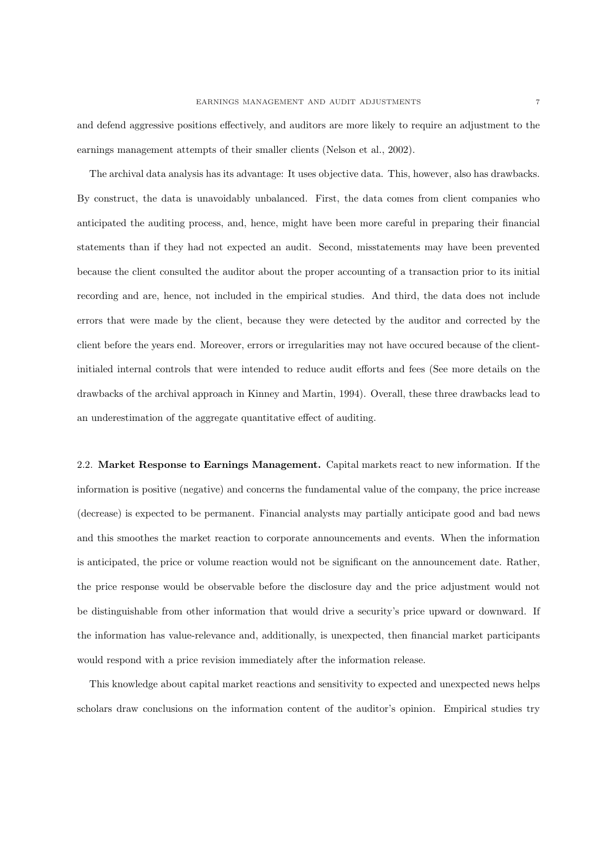and defend aggressive positions effectively, and auditors are more likely to require an adjustment to the earnings management attempts of their smaller clients (Nelson et al., 2002).

The archival data analysis has its advantage: It uses objective data. This, however, also has drawbacks. By construct, the data is unavoidably unbalanced. First, the data comes from client companies who anticipated the auditing process, and, hence, might have been more careful in preparing their financial statements than if they had not expected an audit. Second, misstatements may have been prevented because the client consulted the auditor about the proper accounting of a transaction prior to its initial recording and are, hence, not included in the empirical studies. And third, the data does not include errors that were made by the client, because they were detected by the auditor and corrected by the client before the years end. Moreover, errors or irregularities may not have occured because of the clientinitialed internal controls that were intended to reduce audit efforts and fees (See more details on the drawbacks of the archival approach in Kinney and Martin, 1994). Overall, these three drawbacks lead to an underestimation of the aggregate quantitative effect of auditing.

2.2. Market Response to Earnings Management. Capital markets react to new information. If the information is positive (negative) and concerns the fundamental value of the company, the price increase (decrease) is expected to be permanent. Financial analysts may partially anticipate good and bad news and this smoothes the market reaction to corporate announcements and events. When the information is anticipated, the price or volume reaction would not be significant on the announcement date. Rather, the price response would be observable before the disclosure day and the price adjustment would not be distinguishable from other information that would drive a security's price upward or downward. If the information has value-relevance and, additionally, is unexpected, then financial market participants would respond with a price revision immediately after the information release.

This knowledge about capital market reactions and sensitivity to expected and unexpected news helps scholars draw conclusions on the information content of the auditor's opinion. Empirical studies try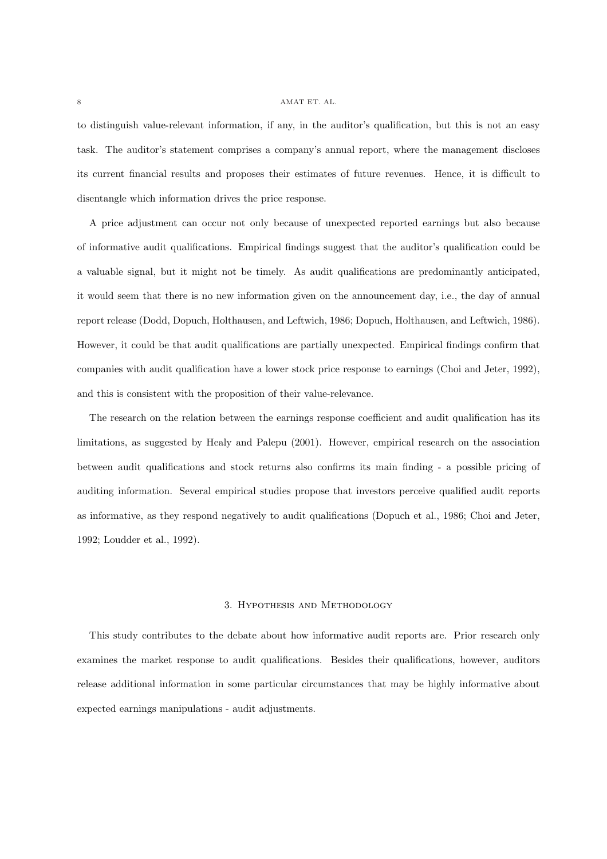to distinguish value-relevant information, if any, in the auditor's qualification, but this is not an easy task. The auditor's statement comprises a company's annual report, where the management discloses its current financial results and proposes their estimates of future revenues. Hence, it is difficult to disentangle which information drives the price response.

A price adjustment can occur not only because of unexpected reported earnings but also because of informative audit qualifications. Empirical findings suggest that the auditor's qualification could be a valuable signal, but it might not be timely. As audit qualifications are predominantly anticipated, it would seem that there is no new information given on the announcement day, i.e., the day of annual report release (Dodd, Dopuch, Holthausen, and Leftwich, 1986; Dopuch, Holthausen, and Leftwich, 1986). However, it could be that audit qualifications are partially unexpected. Empirical findings confirm that companies with audit qualification have a lower stock price response to earnings (Choi and Jeter, 1992), and this is consistent with the proposition of their value-relevance.

The research on the relation between the earnings response coefficient and audit qualification has its limitations, as suggested by Healy and Palepu (2001). However, empirical research on the association between audit qualifications and stock returns also confirms its main finding - a possible pricing of auditing information. Several empirical studies propose that investors perceive qualified audit reports as informative, as they respond negatively to audit qualifications (Dopuch et al., 1986; Choi and Jeter, 1992; Loudder et al., 1992).

## 3. Hypothesis and Methodology

This study contributes to the debate about how informative audit reports are. Prior research only examines the market response to audit qualifications. Besides their qualifications, however, auditors release additional information in some particular circumstances that may be highly informative about expected earnings manipulations - audit adjustments.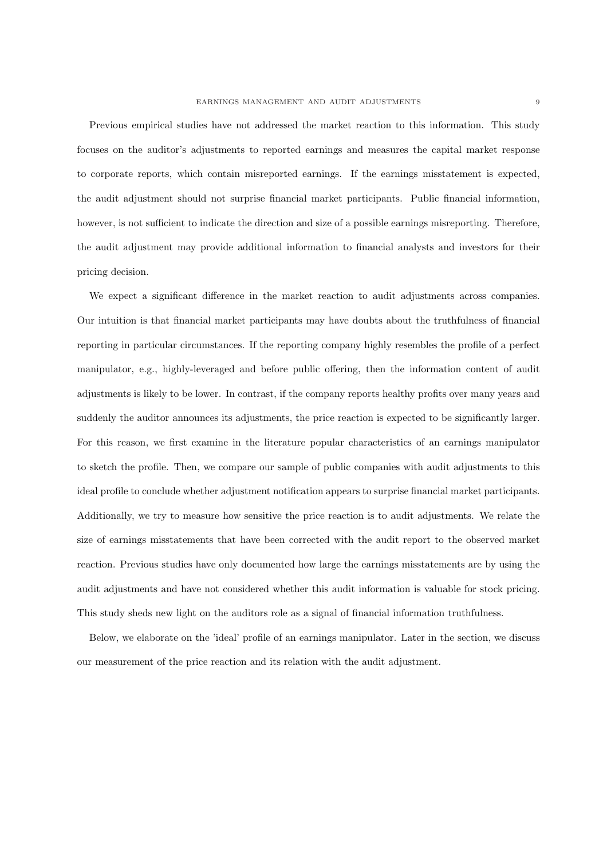Previous empirical studies have not addressed the market reaction to this information. This study focuses on the auditor's adjustments to reported earnings and measures the capital market response to corporate reports, which contain misreported earnings. If the earnings misstatement is expected, the audit adjustment should not surprise financial market participants. Public financial information, however, is not sufficient to indicate the direction and size of a possible earnings misreporting. Therefore, the audit adjustment may provide additional information to financial analysts and investors for their pricing decision.

We expect a significant difference in the market reaction to audit adjustments across companies. Our intuition is that financial market participants may have doubts about the truthfulness of financial reporting in particular circumstances. If the reporting company highly resembles the profile of a perfect manipulator, e.g., highly-leveraged and before public offering, then the information content of audit adjustments is likely to be lower. In contrast, if the company reports healthy profits over many years and suddenly the auditor announces its adjustments, the price reaction is expected to be significantly larger. For this reason, we first examine in the literature popular characteristics of an earnings manipulator to sketch the profile. Then, we compare our sample of public companies with audit adjustments to this ideal profile to conclude whether adjustment notification appears to surprise financial market participants. Additionally, we try to measure how sensitive the price reaction is to audit adjustments. We relate the size of earnings misstatements that have been corrected with the audit report to the observed market reaction. Previous studies have only documented how large the earnings misstatements are by using the audit adjustments and have not considered whether this audit information is valuable for stock pricing. This study sheds new light on the auditors role as a signal of financial information truthfulness.

Below, we elaborate on the 'ideal' profile of an earnings manipulator. Later in the section, we discuss our measurement of the price reaction and its relation with the audit adjustment.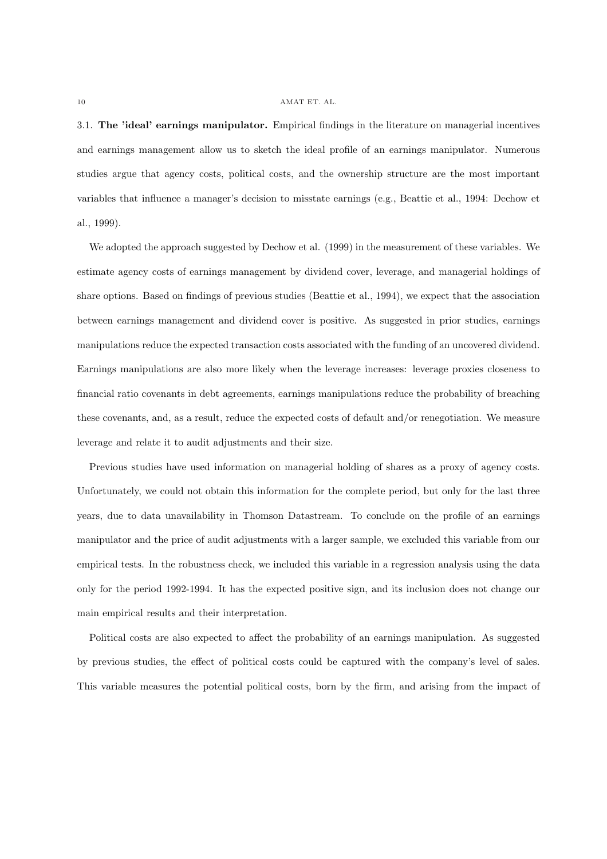3.1. The 'ideal' earnings manipulator. Empirical findings in the literature on managerial incentives and earnings management allow us to sketch the ideal profile of an earnings manipulator. Numerous studies argue that agency costs, political costs, and the ownership structure are the most important variables that influence a manager's decision to misstate earnings (e.g., Beattie et al., 1994: Dechow et al., 1999).

We adopted the approach suggested by Dechow et al. (1999) in the measurement of these variables. We estimate agency costs of earnings management by dividend cover, leverage, and managerial holdings of share options. Based on findings of previous studies (Beattie et al., 1994), we expect that the association between earnings management and dividend cover is positive. As suggested in prior studies, earnings manipulations reduce the expected transaction costs associated with the funding of an uncovered dividend. Earnings manipulations are also more likely when the leverage increases: leverage proxies closeness to financial ratio covenants in debt agreements, earnings manipulations reduce the probability of breaching these covenants, and, as a result, reduce the expected costs of default and/or renegotiation. We measure leverage and relate it to audit adjustments and their size.

Previous studies have used information on managerial holding of shares as a proxy of agency costs. Unfortunately, we could not obtain this information for the complete period, but only for the last three years, due to data unavailability in Thomson Datastream. To conclude on the profile of an earnings manipulator and the price of audit adjustments with a larger sample, we excluded this variable from our empirical tests. In the robustness check, we included this variable in a regression analysis using the data only for the period 1992-1994. It has the expected positive sign, and its inclusion does not change our main empirical results and their interpretation.

Political costs are also expected to affect the probability of an earnings manipulation. As suggested by previous studies, the effect of political costs could be captured with the company's level of sales. This variable measures the potential political costs, born by the firm, and arising from the impact of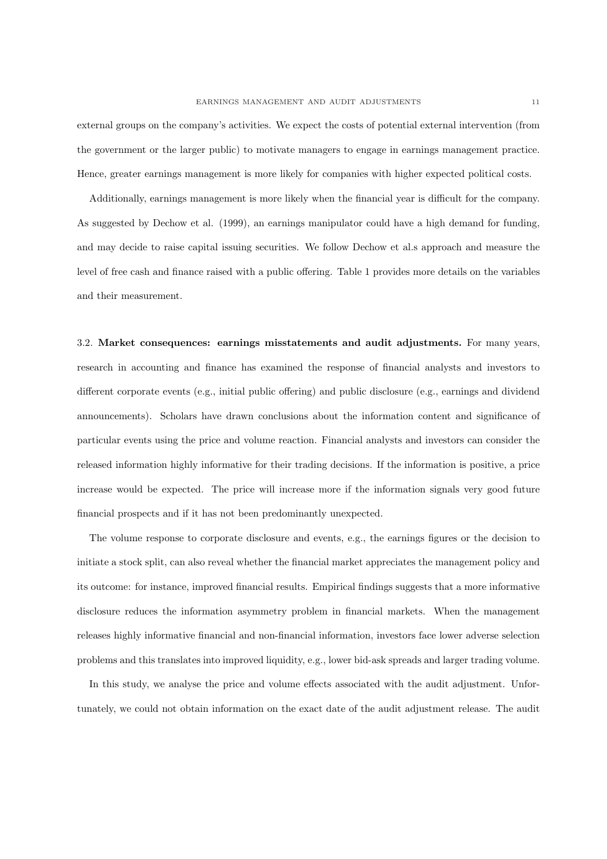external groups on the company's activities. We expect the costs of potential external intervention (from the government or the larger public) to motivate managers to engage in earnings management practice. Hence, greater earnings management is more likely for companies with higher expected political costs.

Additionally, earnings management is more likely when the financial year is difficult for the company. As suggested by Dechow et al. (1999), an earnings manipulator could have a high demand for funding, and may decide to raise capital issuing securities. We follow Dechow et al.s approach and measure the level of free cash and finance raised with a public offering. Table 1 provides more details on the variables and their measurement.

3.2. Market consequences: earnings misstatements and audit adjustments. For many years, research in accounting and finance has examined the response of financial analysts and investors to different corporate events (e.g., initial public offering) and public disclosure (e.g., earnings and dividend announcements). Scholars have drawn conclusions about the information content and significance of particular events using the price and volume reaction. Financial analysts and investors can consider the released information highly informative for their trading decisions. If the information is positive, a price increase would be expected. The price will increase more if the information signals very good future financial prospects and if it has not been predominantly unexpected.

The volume response to corporate disclosure and events, e.g., the earnings figures or the decision to initiate a stock split, can also reveal whether the financial market appreciates the management policy and its outcome: for instance, improved financial results. Empirical findings suggests that a more informative disclosure reduces the information asymmetry problem in financial markets. When the management releases highly informative financial and non-financial information, investors face lower adverse selection problems and this translates into improved liquidity, e.g., lower bid-ask spreads and larger trading volume.

In this study, we analyse the price and volume effects associated with the audit adjustment. Unfortunately, we could not obtain information on the exact date of the audit adjustment release. The audit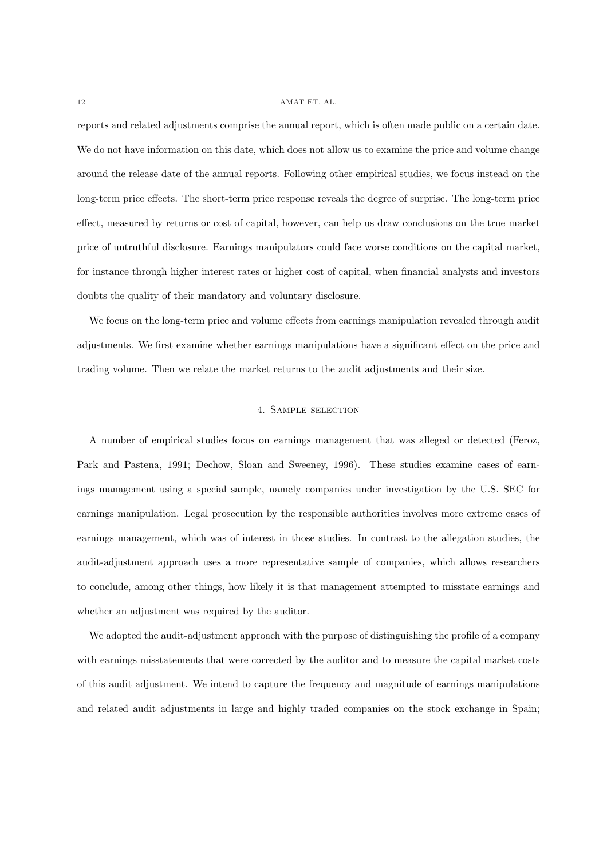reports and related adjustments comprise the annual report, which is often made public on a certain date. We do not have information on this date, which does not allow us to examine the price and volume change around the release date of the annual reports. Following other empirical studies, we focus instead on the long-term price effects. The short-term price response reveals the degree of surprise. The long-term price effect, measured by returns or cost of capital, however, can help us draw conclusions on the true market price of untruthful disclosure. Earnings manipulators could face worse conditions on the capital market, for instance through higher interest rates or higher cost of capital, when financial analysts and investors doubts the quality of their mandatory and voluntary disclosure.

We focus on the long-term price and volume effects from earnings manipulation revealed through audit adjustments. We first examine whether earnings manipulations have a significant effect on the price and trading volume. Then we relate the market returns to the audit adjustments and their size.

## 4. Sample selection

A number of empirical studies focus on earnings management that was alleged or detected (Feroz, Park and Pastena, 1991; Dechow, Sloan and Sweeney, 1996). These studies examine cases of earnings management using a special sample, namely companies under investigation by the U.S. SEC for earnings manipulation. Legal prosecution by the responsible authorities involves more extreme cases of earnings management, which was of interest in those studies. In contrast to the allegation studies, the audit-adjustment approach uses a more representative sample of companies, which allows researchers to conclude, among other things, how likely it is that management attempted to misstate earnings and whether an adjustment was required by the auditor.

We adopted the audit-adjustment approach with the purpose of distinguishing the profile of a company with earnings misstatements that were corrected by the auditor and to measure the capital market costs of this audit adjustment. We intend to capture the frequency and magnitude of earnings manipulations and related audit adjustments in large and highly traded companies on the stock exchange in Spain;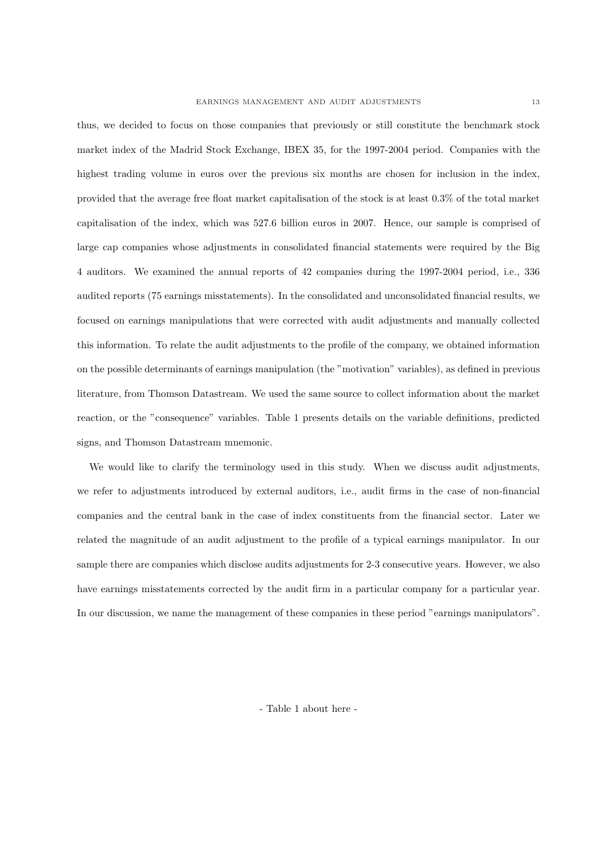thus, we decided to focus on those companies that previously or still constitute the benchmark stock market index of the Madrid Stock Exchange, IBEX 35, for the 1997-2004 period. Companies with the highest trading volume in euros over the previous six months are chosen for inclusion in the index, provided that the average free float market capitalisation of the stock is at least 0.3% of the total market capitalisation of the index, which was 527.6 billion euros in 2007. Hence, our sample is comprised of large cap companies whose adjustments in consolidated financial statements were required by the Big 4 auditors. We examined the annual reports of 42 companies during the 1997-2004 period, i.e., 336 audited reports (75 earnings misstatements). In the consolidated and unconsolidated financial results, we focused on earnings manipulations that were corrected with audit adjustments and manually collected this information. To relate the audit adjustments to the profile of the company, we obtained information on the possible determinants of earnings manipulation (the "motivation" variables), as defined in previous literature, from Thomson Datastream. We used the same source to collect information about the market reaction, or the "consequence" variables. Table 1 presents details on the variable definitions, predicted signs, and Thomson Datastream mnemonic.

We would like to clarify the terminology used in this study. When we discuss audit adjustments, we refer to adjustments introduced by external auditors, i.e., audit firms in the case of non-financial companies and the central bank in the case of index constituents from the financial sector. Later we related the magnitude of an audit adjustment to the profile of a typical earnings manipulator. In our sample there are companies which disclose audits adjustments for 2-3 consecutive years. However, we also have earnings misstatements corrected by the audit firm in a particular company for a particular year. In our discussion, we name the management of these companies in these period "earnings manipulators".

- Table 1 about here -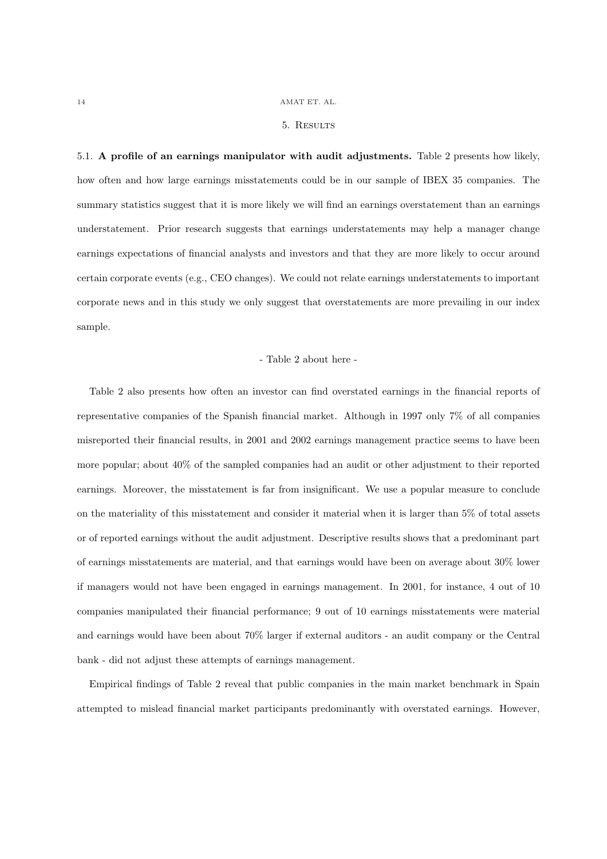#### 5. Results

5.1. A profile of an earnings manipulator with audit adjustments. Table 2 presents how likely, how often and how large earnings misstatements could be in our sample of IBEX 35 companies. The summary statistics suggest that it is more likely we will find an earnings overstatement than an earnings understatement. Prior research suggests that earnings understatements may help a manager change earnings expectations of financial analysts and investors and that they are more likely to occur around certain corporate events (e.g., CEO changes). We could not relate earnings understatements to important corporate news and in this study we only suggest that overstatements are more prevailing in our index sample.

#### - Table 2 about here -

Table 2 also presents how often an investor can find overstated earnings in the financial reports of representative companies of the Spanish financial market. Although in 1997 only 7% of all companies misreported their financial results, in 2001 and 2002 earnings management practice seems to have been more popular; about 40% of the sampled companies had an audit or other adjustment to their reported earnings. Moreover, the misstatement is far from insignificant. We use a popular measure to conclude on the materiality of this misstatement and consider it material when it is larger than 5% of total assets or of reported earnings without the audit adjustment. Descriptive results shows that a predominant part of earnings misstatements are material, and that earnings would have been on average about 30% lower if managers would not have been engaged in earnings management. In 2001, for instance, 4 out of 10 companies manipulated their financial performance; 9 out of 10 earnings misstatements were material and earnings would have been about 70% larger if external auditors - an audit company or the Central bank - did not adjust these attempts of earnings management.

Empirical findings of Table 2 reveal that public companies in the main market benchmark in Spain attempted to mislead financial market participants predominantly with overstated earnings. However,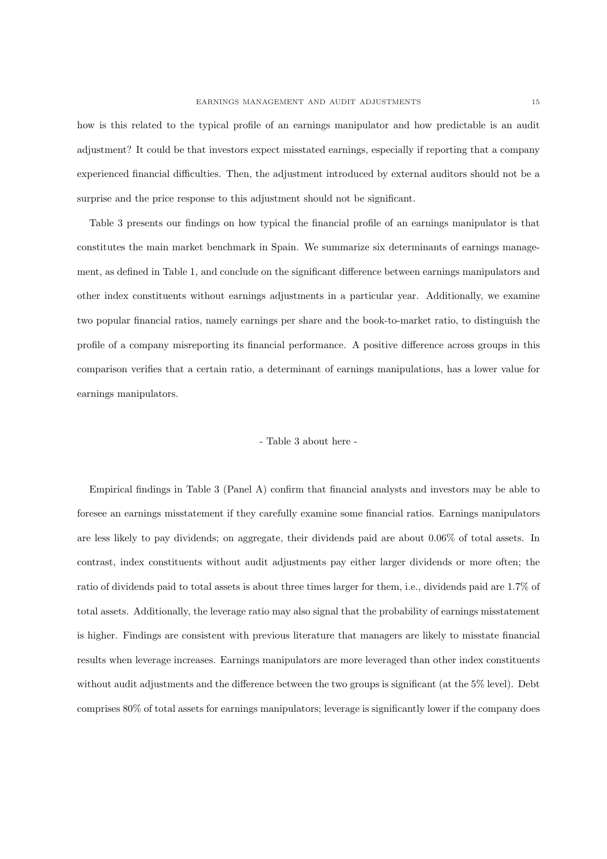how is this related to the typical profile of an earnings manipulator and how predictable is an audit adjustment? It could be that investors expect misstated earnings, especially if reporting that a company experienced financial difficulties. Then, the adjustment introduced by external auditors should not be a surprise and the price response to this adjustment should not be significant.

Table 3 presents our findings on how typical the financial profile of an earnings manipulator is that constitutes the main market benchmark in Spain. We summarize six determinants of earnings management, as defined in Table 1, and conclude on the significant difference between earnings manipulators and other index constituents without earnings adjustments in a particular year. Additionally, we examine two popular financial ratios, namely earnings per share and the book-to-market ratio, to distinguish the profile of a company misreporting its financial performance. A positive difference across groups in this comparison verifies that a certain ratio, a determinant of earnings manipulations, has a lower value for earnings manipulators.

## - Table 3 about here -

Empirical findings in Table 3 (Panel A) confirm that financial analysts and investors may be able to foresee an earnings misstatement if they carefully examine some financial ratios. Earnings manipulators are less likely to pay dividends; on aggregate, their dividends paid are about 0.06% of total assets. In contrast, index constituents without audit adjustments pay either larger dividends or more often; the ratio of dividends paid to total assets is about three times larger for them, i.e., dividends paid are 1.7% of total assets. Additionally, the leverage ratio may also signal that the probability of earnings misstatement is higher. Findings are consistent with previous literature that managers are likely to misstate financial results when leverage increases. Earnings manipulators are more leveraged than other index constituents without audit adjustments and the difference between the two groups is significant (at the 5% level). Debt comprises 80% of total assets for earnings manipulators; leverage is significantly lower if the company does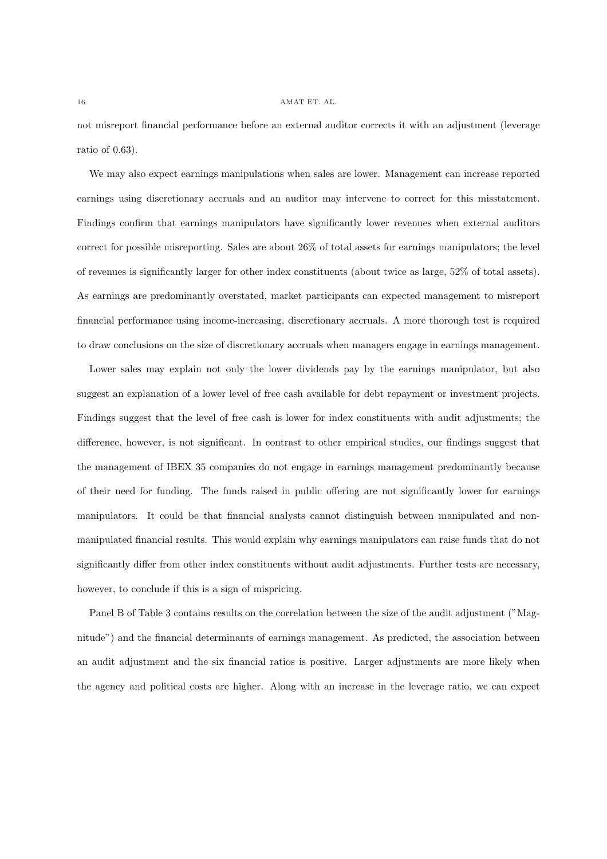not misreport financial performance before an external auditor corrects it with an adjustment (leverage ratio of 0.63).

We may also expect earnings manipulations when sales are lower. Management can increase reported earnings using discretionary accruals and an auditor may intervene to correct for this misstatement. Findings confirm that earnings manipulators have significantly lower revenues when external auditors correct for possible misreporting. Sales are about 26% of total assets for earnings manipulators; the level of revenues is significantly larger for other index constituents (about twice as large, 52% of total assets). As earnings are predominantly overstated, market participants can expected management to misreport financial performance using income-increasing, discretionary accruals. A more thorough test is required to draw conclusions on the size of discretionary accruals when managers engage in earnings management.

Lower sales may explain not only the lower dividends pay by the earnings manipulator, but also suggest an explanation of a lower level of free cash available for debt repayment or investment projects. Findings suggest that the level of free cash is lower for index constituents with audit adjustments; the difference, however, is not significant. In contrast to other empirical studies, our findings suggest that the management of IBEX 35 companies do not engage in earnings management predominantly because of their need for funding. The funds raised in public offering are not significantly lower for earnings manipulators. It could be that financial analysts cannot distinguish between manipulated and nonmanipulated financial results. This would explain why earnings manipulators can raise funds that do not significantly differ from other index constituents without audit adjustments. Further tests are necessary, however, to conclude if this is a sign of mispricing.

Panel B of Table 3 contains results on the correlation between the size of the audit adjustment ("Magnitude") and the financial determinants of earnings management. As predicted, the association between an audit adjustment and the six financial ratios is positive. Larger adjustments are more likely when the agency and political costs are higher. Along with an increase in the leverage ratio, we can expect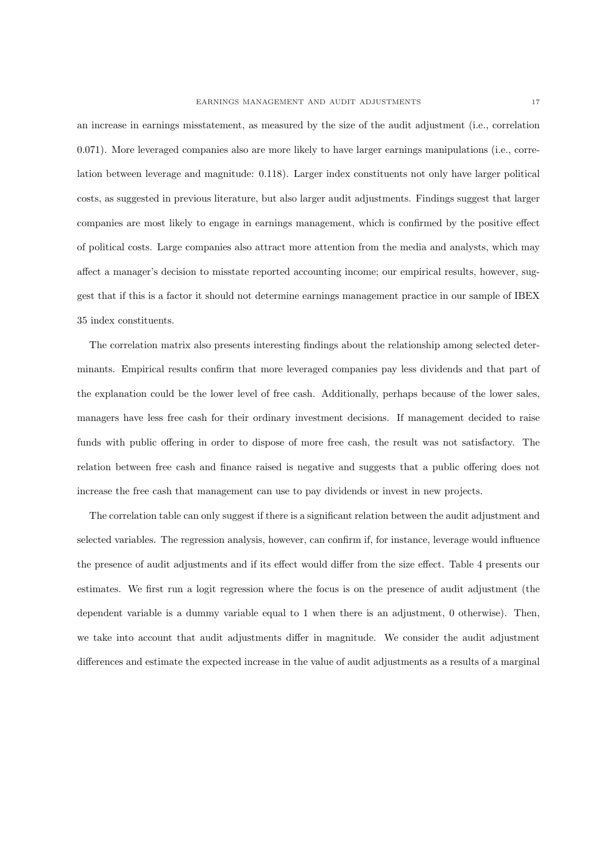an increase in earnings misstatement, as measured by the size of the audit adjustment (i.e., correlation 0.071). More leveraged companies also are more likely to have larger earnings manipulations (i.e., correlation between leverage and magnitude: 0.118). Larger index constituents not only have larger political costs, as suggested in previous literature, but also larger audit adjustments. Findings suggest that larger companies are most likely to engage in earnings management, which is confirmed by the positive effect of political costs. Large companies also attract more attention from the media and analysts, which may affect a manager's decision to misstate reported accounting income; our empirical results, however, suggest that if this is a factor it should not determine earnings management practice in our sample of IBEX 35 index constituents.

The correlation matrix also presents interesting findings about the relationship among selected determinants. Empirical results confirm that more leveraged companies pay less dividends and that part of the explanation could be the lower level of free cash. Additionally, perhaps because of the lower sales, managers have less free cash for their ordinary investment decisions. If management decided to raise funds with public offering in order to dispose of more free cash, the result was not satisfactory. The relation between free cash and finance raised is negative and suggests that a public offering does not increase the free cash that management can use to pay dividends or invest in new projects.

The correlation table can only suggest if there is a significant relation between the audit adjustment and selected variables. The regression analysis, however, can confirm if, for instance, leverage would influence the presence of audit adjustments and if its effect would differ from the size effect. Table 4 presents our estimates. We first run a logit regression where the focus is on the presence of audit adjustment (the dependent variable is a dummy variable equal to 1 when there is an adjustment, 0 otherwise). Then, we take into account that audit adjustments differ in magnitude. We consider the audit adjustment differences and estimate the expected increase in the value of audit adjustments as a results of a marginal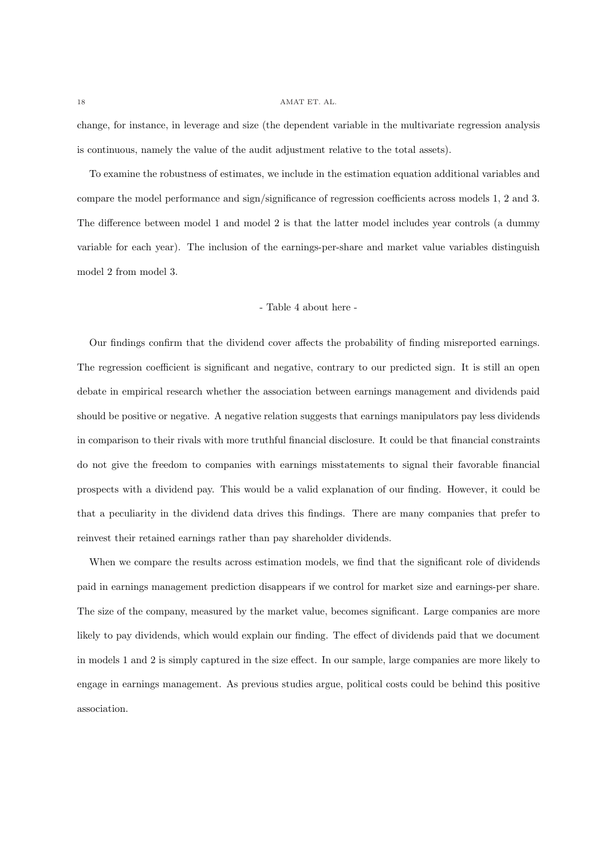change, for instance, in leverage and size (the dependent variable in the multivariate regression analysis is continuous, namely the value of the audit adjustment relative to the total assets).

To examine the robustness of estimates, we include in the estimation equation additional variables and compare the model performance and sign/significance of regression coefficients across models 1, 2 and 3. The difference between model 1 and model 2 is that the latter model includes year controls (a dummy variable for each year). The inclusion of the earnings-per-share and market value variables distinguish model 2 from model 3.

## - Table 4 about here -

Our findings confirm that the dividend cover affects the probability of finding misreported earnings. The regression coefficient is significant and negative, contrary to our predicted sign. It is still an open debate in empirical research whether the association between earnings management and dividends paid should be positive or negative. A negative relation suggests that earnings manipulators pay less dividends in comparison to their rivals with more truthful financial disclosure. It could be that financial constraints do not give the freedom to companies with earnings misstatements to signal their favorable financial prospects with a dividend pay. This would be a valid explanation of our finding. However, it could be that a peculiarity in the dividend data drives this findings. There are many companies that prefer to reinvest their retained earnings rather than pay shareholder dividends.

When we compare the results across estimation models, we find that the significant role of dividends paid in earnings management prediction disappears if we control for market size and earnings-per share. The size of the company, measured by the market value, becomes significant. Large companies are more likely to pay dividends, which would explain our finding. The effect of dividends paid that we document in models 1 and 2 is simply captured in the size effect. In our sample, large companies are more likely to engage in earnings management. As previous studies argue, political costs could be behind this positive association.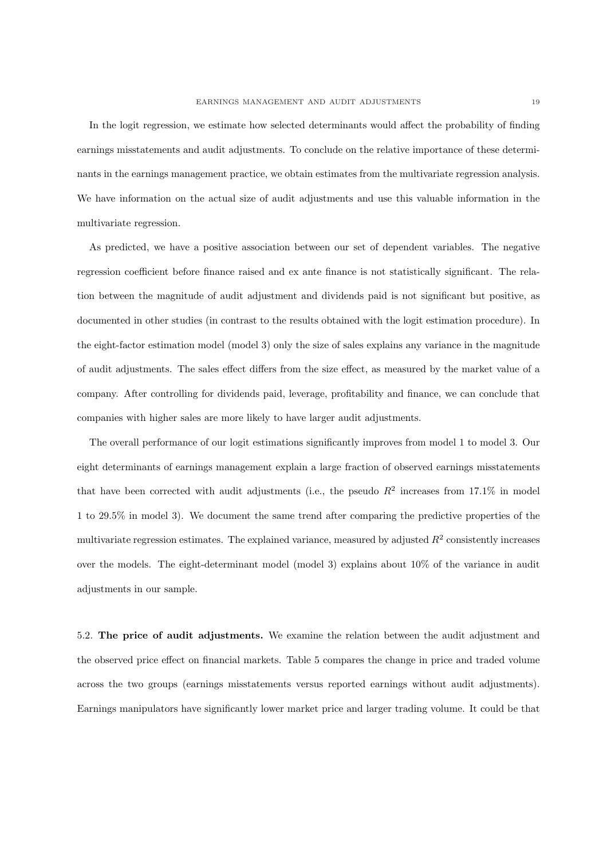In the logit regression, we estimate how selected determinants would affect the probability of finding earnings misstatements and audit adjustments. To conclude on the relative importance of these determinants in the earnings management practice, we obtain estimates from the multivariate regression analysis. We have information on the actual size of audit adjustments and use this valuable information in the multivariate regression.

As predicted, we have a positive association between our set of dependent variables. The negative regression coefficient before finance raised and ex ante finance is not statistically significant. The relation between the magnitude of audit adjustment and dividends paid is not significant but positive, as documented in other studies (in contrast to the results obtained with the logit estimation procedure). In the eight-factor estimation model (model 3) only the size of sales explains any variance in the magnitude of audit adjustments. The sales effect differs from the size effect, as measured by the market value of a company. After controlling for dividends paid, leverage, profitability and finance, we can conclude that companies with higher sales are more likely to have larger audit adjustments.

The overall performance of our logit estimations significantly improves from model 1 to model 3. Our eight determinants of earnings management explain a large fraction of observed earnings misstatements that have been corrected with audit adjustments (i.e., the pseudo  $R^2$  increases from 17.1% in model 1 to 29.5% in model 3). We document the same trend after comparing the predictive properties of the multivariate regression estimates. The explained variance, measured by adjusted  $R^2$  consistently increases over the models. The eight-determinant model (model 3) explains about 10% of the variance in audit adjustments in our sample.

5.2. The price of audit adjustments. We examine the relation between the audit adjustment and the observed price effect on financial markets. Table 5 compares the change in price and traded volume across the two groups (earnings misstatements versus reported earnings without audit adjustments). Earnings manipulators have significantly lower market price and larger trading volume. It could be that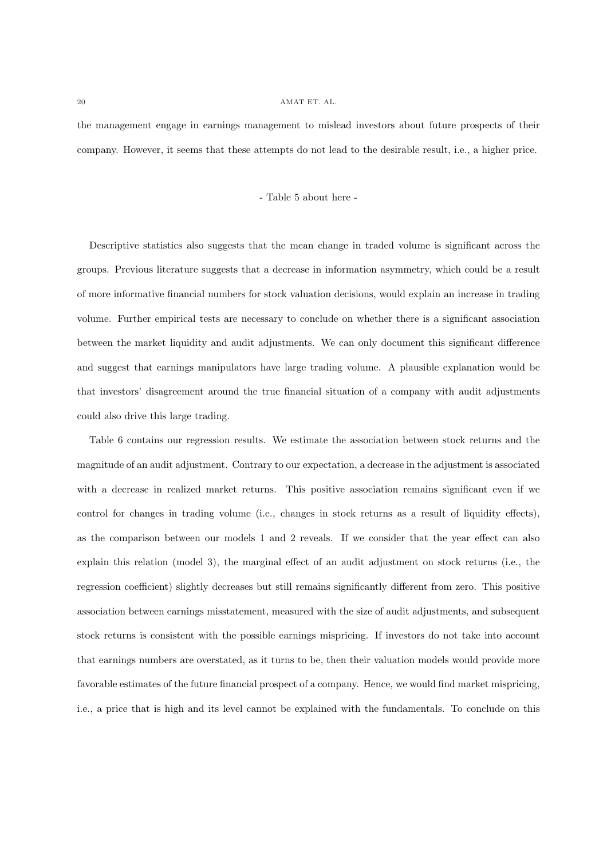the management engage in earnings management to mislead investors about future prospects of their company. However, it seems that these attempts do not lead to the desirable result, i.e., a higher price.

## - Table 5 about here -

Descriptive statistics also suggests that the mean change in traded volume is significant across the groups. Previous literature suggests that a decrease in information asymmetry, which could be a result of more informative financial numbers for stock valuation decisions, would explain an increase in trading volume. Further empirical tests are necessary to conclude on whether there is a significant association between the market liquidity and audit adjustments. We can only document this significant difference and suggest that earnings manipulators have large trading volume. A plausible explanation would be that investors' disagreement around the true financial situation of a company with audit adjustments could also drive this large trading.

Table 6 contains our regression results. We estimate the association between stock returns and the magnitude of an audit adjustment. Contrary to our expectation, a decrease in the adjustment is associated with a decrease in realized market returns. This positive association remains significant even if we control for changes in trading volume (i.e., changes in stock returns as a result of liquidity effects), as the comparison between our models 1 and 2 reveals. If we consider that the year effect can also explain this relation (model 3), the marginal effect of an audit adjustment on stock returns (i.e., the regression coefficient) slightly decreases but still remains significantly different from zero. This positive association between earnings misstatement, measured with the size of audit adjustments, and subsequent stock returns is consistent with the possible earnings mispricing. If investors do not take into account that earnings numbers are overstated, as it turns to be, then their valuation models would provide more favorable estimates of the future financial prospect of a company. Hence, we would find market mispricing, i.e., a price that is high and its level cannot be explained with the fundamentals. To conclude on this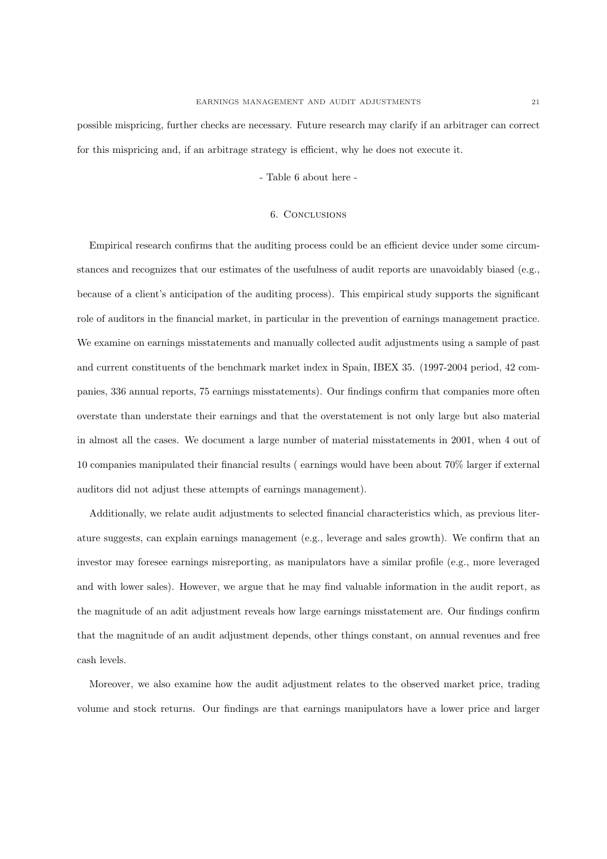possible mispricing, further checks are necessary. Future research may clarify if an arbitrager can correct for this mispricing and, if an arbitrage strategy is efficient, why he does not execute it.

## - Table 6 about here -

### 6. Conclusions

Empirical research confirms that the auditing process could be an efficient device under some circumstances and recognizes that our estimates of the usefulness of audit reports are unavoidably biased (e.g., because of a client's anticipation of the auditing process). This empirical study supports the significant role of auditors in the financial market, in particular in the prevention of earnings management practice. We examine on earnings misstatements and manually collected audit adjustments using a sample of past and current constituents of the benchmark market index in Spain, IBEX 35. (1997-2004 period, 42 companies, 336 annual reports, 75 earnings misstatements). Our findings confirm that companies more often overstate than understate their earnings and that the overstatement is not only large but also material in almost all the cases. We document a large number of material misstatements in 2001, when 4 out of 10 companies manipulated their financial results ( earnings would have been about 70% larger if external auditors did not adjust these attempts of earnings management).

Additionally, we relate audit adjustments to selected financial characteristics which, as previous literature suggests, can explain earnings management (e.g., leverage and sales growth). We confirm that an investor may foresee earnings misreporting, as manipulators have a similar profile (e.g., more leveraged and with lower sales). However, we argue that he may find valuable information in the audit report, as the magnitude of an adit adjustment reveals how large earnings misstatement are. Our findings confirm that the magnitude of an audit adjustment depends, other things constant, on annual revenues and free cash levels.

Moreover, we also examine how the audit adjustment relates to the observed market price, trading volume and stock returns. Our findings are that earnings manipulators have a lower price and larger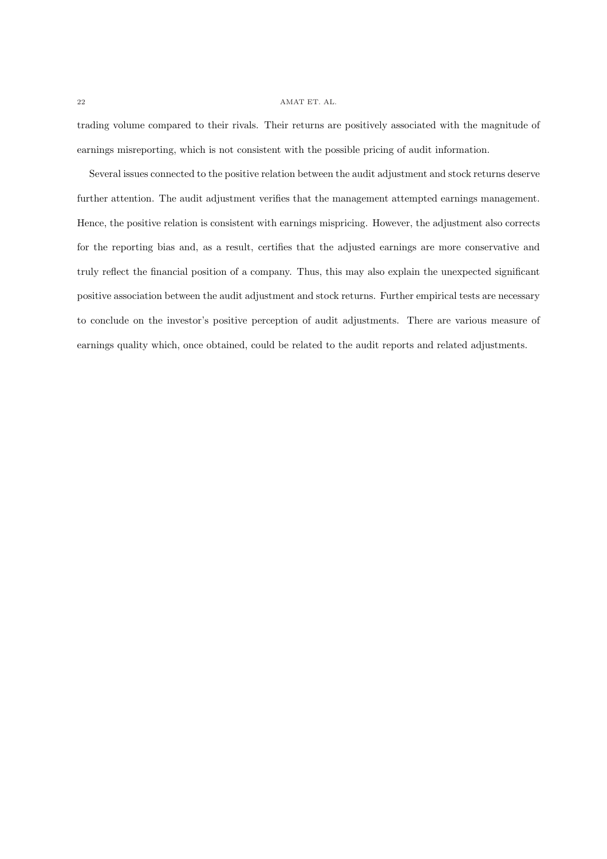trading volume compared to their rivals. Their returns are positively associated with the magnitude of earnings misreporting, which is not consistent with the possible pricing of audit information.

Several issues connected to the positive relation between the audit adjustment and stock returns deserve further attention. The audit adjustment verifies that the management attempted earnings management. Hence, the positive relation is consistent with earnings mispricing. However, the adjustment also corrects for the reporting bias and, as a result, certifies that the adjusted earnings are more conservative and truly reflect the financial position of a company. Thus, this may also explain the unexpected significant positive association between the audit adjustment and stock returns. Further empirical tests are necessary to conclude on the investor's positive perception of audit adjustments. There are various measure of earnings quality which, once obtained, could be related to the audit reports and related adjustments.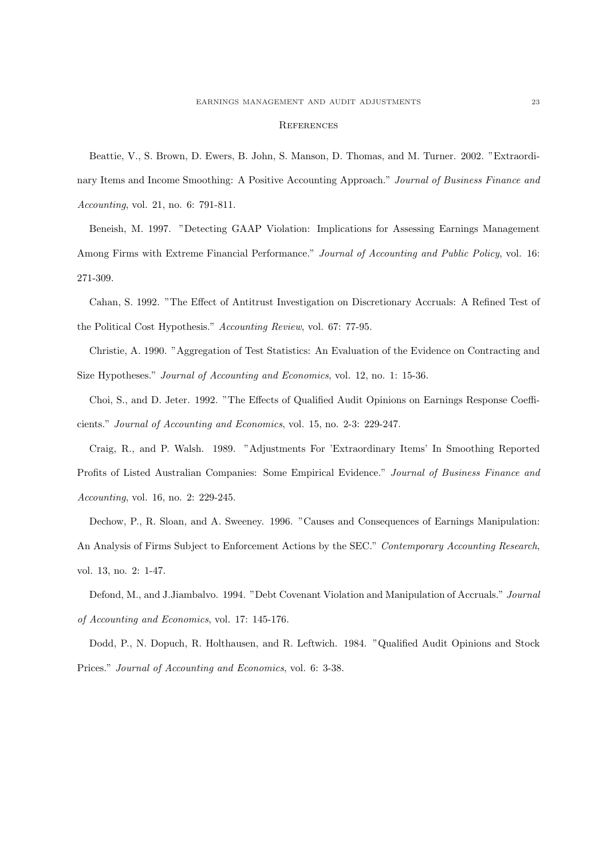#### **REFERENCES**

Beattie, V., S. Brown, D. Ewers, B. John, S. Manson, D. Thomas, and M. Turner. 2002. "Extraordinary Items and Income Smoothing: A Positive Accounting Approach." Journal of Business Finance and Accounting, vol. 21, no. 6: 791-811.

Beneish, M. 1997. "Detecting GAAP Violation: Implications for Assessing Earnings Management Among Firms with Extreme Financial Performance." Journal of Accounting and Public Policy, vol. 16: 271-309.

Cahan, S. 1992. "The Effect of Antitrust Investigation on Discretionary Accruals: A Refined Test of the Political Cost Hypothesis." Accounting Review, vol. 67: 77-95.

Christie, A. 1990. "Aggregation of Test Statistics: An Evaluation of the Evidence on Contracting and Size Hypotheses." Journal of Accounting and Economics, vol. 12, no. 1: 15-36.

Choi, S., and D. Jeter. 1992. "The Effects of Qualified Audit Opinions on Earnings Response Coefficients." Journal of Accounting and Economics, vol. 15, no. 2-3: 229-247.

Craig, R., and P. Walsh. 1989. "Adjustments For 'Extraordinary Items' In Smoothing Reported Profits of Listed Australian Companies: Some Empirical Evidence." Journal of Business Finance and Accounting, vol. 16, no. 2: 229-245.

Dechow, P., R. Sloan, and A. Sweeney. 1996. "Causes and Consequences of Earnings Manipulation: An Analysis of Firms Subject to Enforcement Actions by the SEC." Contemporary Accounting Research, vol. 13, no. 2: 1-47.

Defond, M., and J.Jiambalvo. 1994. "Debt Covenant Violation and Manipulation of Accruals." Journal of Accounting and Economics, vol. 17: 145-176.

Dodd, P., N. Dopuch, R. Holthausen, and R. Leftwich. 1984. "Qualified Audit Opinions and Stock Prices." Journal of Accounting and Economics, vol. 6: 3-38.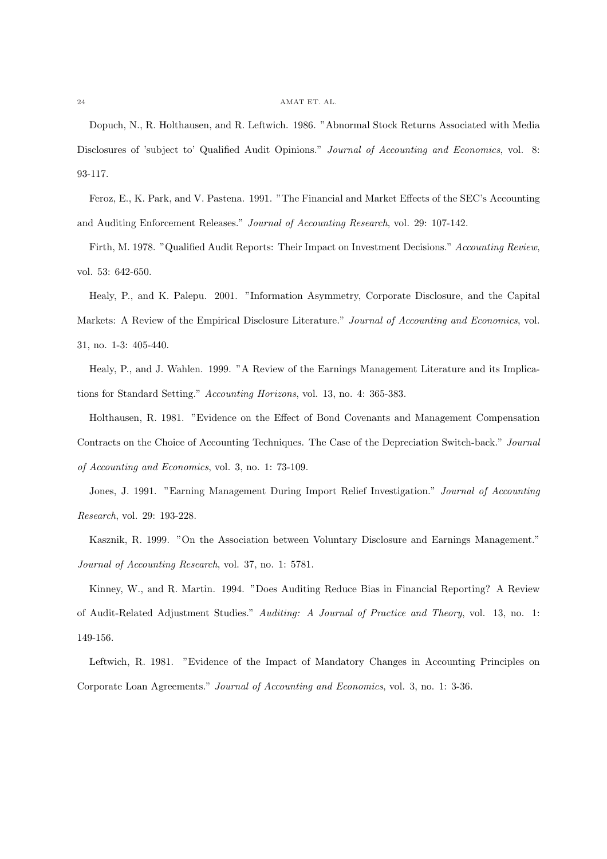Dopuch, N., R. Holthausen, and R. Leftwich. 1986. "Abnormal Stock Returns Associated with Media Disclosures of 'subject to' Qualified Audit Opinions." Journal of Accounting and Economics, vol. 8: 93-117.

Feroz, E., K. Park, and V. Pastena. 1991. "The Financial and Market Effects of the SEC's Accounting and Auditing Enforcement Releases." Journal of Accounting Research, vol. 29: 107-142.

Firth, M. 1978. "Qualified Audit Reports: Their Impact on Investment Decisions." Accounting Review, vol. 53: 642-650.

Healy, P., and K. Palepu. 2001. "Information Asymmetry, Corporate Disclosure, and the Capital Markets: A Review of the Empirical Disclosure Literature." Journal of Accounting and Economics, vol. 31, no. 1-3: 405-440.

Healy, P., and J. Wahlen. 1999. "A Review of the Earnings Management Literature and its Implications for Standard Setting." Accounting Horizons, vol. 13, no. 4: 365-383.

Holthausen, R. 1981. "Evidence on the Effect of Bond Covenants and Management Compensation Contracts on the Choice of Accounting Techniques. The Case of the Depreciation Switch-back." Journal of Accounting and Economics, vol. 3, no. 1: 73-109.

Jones, J. 1991. "Earning Management During Import Relief Investigation." Journal of Accounting Research, vol. 29: 193-228.

Kasznik, R. 1999. "On the Association between Voluntary Disclosure and Earnings Management." Journal of Accounting Research, vol. 37, no. 1: 5781.

Kinney, W., and R. Martin. 1994. "Does Auditing Reduce Bias in Financial Reporting? A Review of Audit-Related Adjustment Studies." Auditing: A Journal of Practice and Theory, vol. 13, no. 1: 149-156.

Leftwich, R. 1981. "Evidence of the Impact of Mandatory Changes in Accounting Principles on Corporate Loan Agreements." Journal of Accounting and Economics, vol. 3, no. 1: 3-36.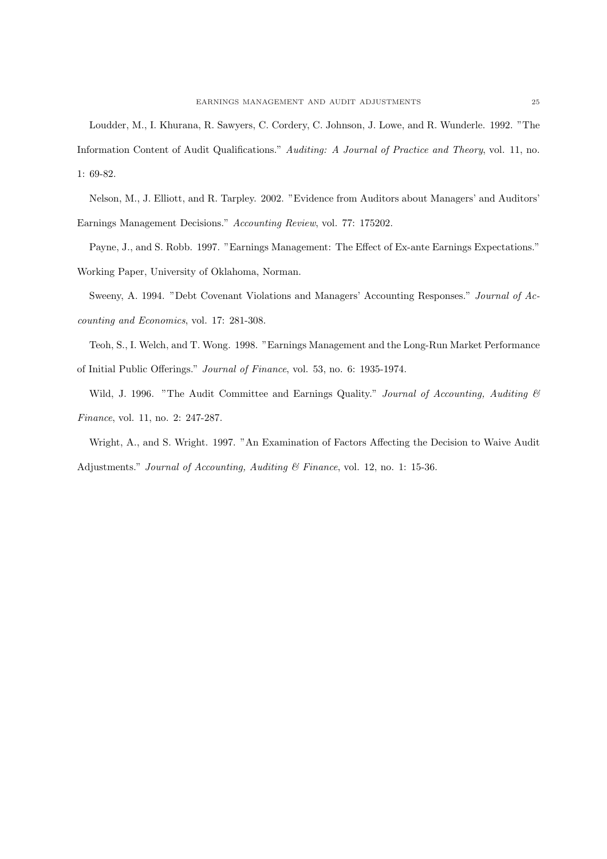Loudder, M., I. Khurana, R. Sawyers, C. Cordery, C. Johnson, J. Lowe, and R. Wunderle. 1992. "The Information Content of Audit Qualifications." Auditing: A Journal of Practice and Theory, vol. 11, no. 1: 69-82.

Nelson, M., J. Elliott, and R. Tarpley. 2002. "Evidence from Auditors about Managers' and Auditors' Earnings Management Decisions." Accounting Review, vol. 77: 175202.

Payne, J., and S. Robb. 1997. "Earnings Management: The Effect of Ex-ante Earnings Expectations." Working Paper, University of Oklahoma, Norman.

Sweeny, A. 1994. "Debt Covenant Violations and Managers' Accounting Responses." Journal of Accounting and Economics, vol. 17: 281-308.

Teoh, S., I. Welch, and T. Wong. 1998. "Earnings Management and the Long-Run Market Performance of Initial Public Offerings." Journal of Finance, vol. 53, no. 6: 1935-1974.

Wild, J. 1996. "The Audit Committee and Earnings Quality." Journal of Accounting, Auditing  $\mathcal C$ Finance, vol. 11, no. 2: 247-287.

Wright, A., and S. Wright. 1997. "An Examination of Factors Affecting the Decision to Waive Audit Adjustments." Journal of Accounting, Auditing & Finance, vol. 12, no. 1: 15-36.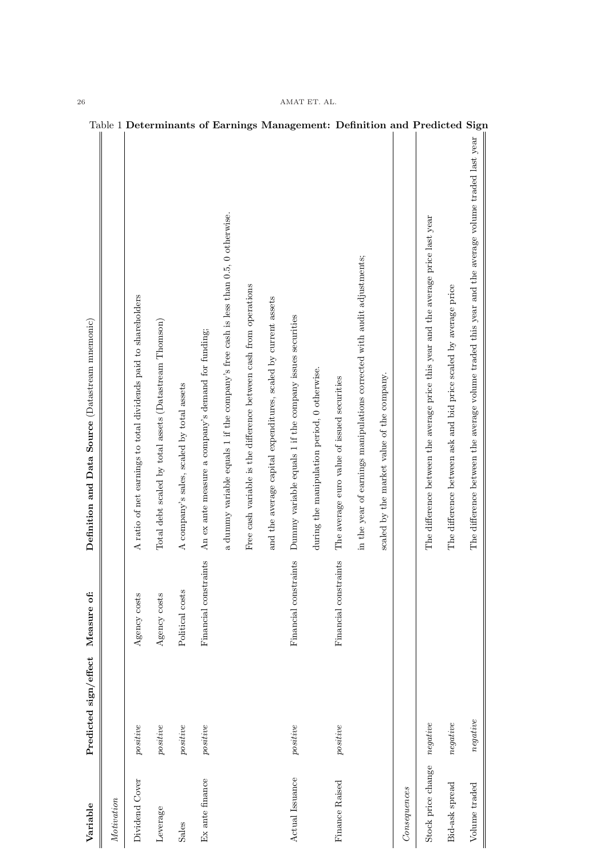| Variable           | Predicted sign/effect                                                           | Measure of:           | Definition and Data Source (Datastream mnemonic)                                                   |                                                                            |
|--------------------|---------------------------------------------------------------------------------|-----------------------|----------------------------------------------------------------------------------------------------|----------------------------------------------------------------------------|
| Motivation         |                                                                                 |                       |                                                                                                    |                                                                            |
| Dividend Cover     | positive                                                                        | Agency costs          | A ratio of net earnings to total dividends paid to shareholders                                    |                                                                            |
| Leverage           | positive                                                                        | Agency costs          | Total debt scaled by total assets (Datastream Thomson)                                             |                                                                            |
| Sales              | positive                                                                        | Political costs       | A company's sales, scaled by total assets                                                          |                                                                            |
| Ex ante finance    | positive                                                                        | Financial constraints | An ex ante measure a company's demand for funding;                                                 |                                                                            |
|                    |                                                                                 |                       | a dummy variable equals 1 if the company's free cash is less than 0.5, 0 otherwise.                |                                                                            |
|                    |                                                                                 |                       | Free cash variable is the difference between cash from operations                                  |                                                                            |
|                    |                                                                                 |                       | and the average capital expenditures, scaled by current assets                                     |                                                                            |
| Actual Issuance    | positive                                                                        | Financial constraints | Dummy variable equals 1 if the company issues securities                                           |                                                                            |
|                    |                                                                                 |                       | during the manipulation period, 0 otherwise.                                                       |                                                                            |
| Finance Raised     | positive                                                                        | Financial constraints | The average euro value of issued securities                                                        |                                                                            |
|                    |                                                                                 |                       | in the year of earnings manipulations corrected with audit adjustments;                            |                                                                            |
|                    |                                                                                 |                       | scaled by the market value of the company.                                                         |                                                                            |
| Consequences       |                                                                                 |                       |                                                                                                    |                                                                            |
| Stock price change | $negative$                                                                      |                       | The difference between the average price this year and the average price last year                 | Table 1 Determinants of Earnings Management: Definition and Predicted Sign |
| Bid-ask spread     | $\begin{aligned} \begin{aligned} \textit{negative} \end{aligned} \end{aligned}$ |                       | The difference between ask and bid price scaled by average price                                   |                                                                            |
| Volume traded      | negative                                                                        |                       | The difference between the average volume traded this year and the average volume traded last year |                                                                            |
|                    |                                                                                 |                       |                                                                                                    |                                                                            |

# $26$   $\,$  AMAT ET. AL.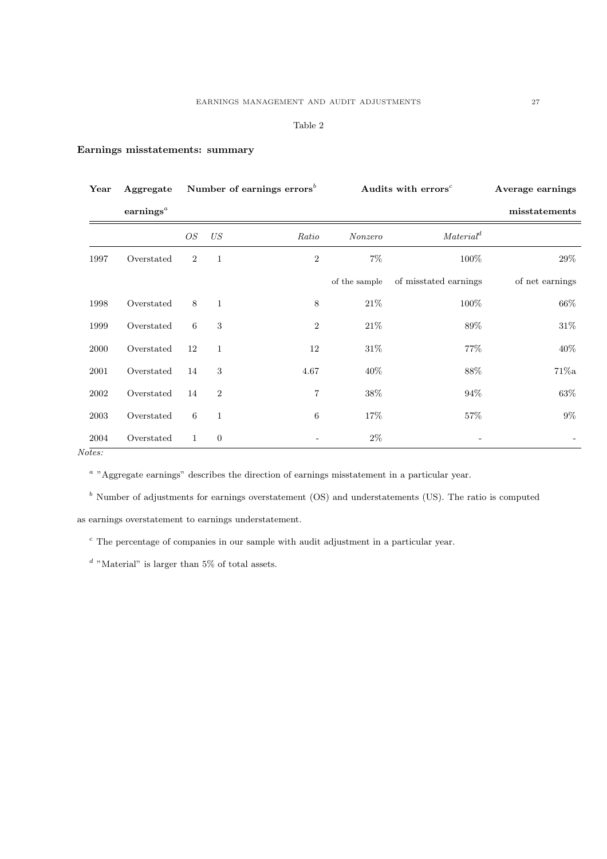## Table 2

## Earnings misstatements: summary

| Year           | Aggregate                          |                |                | Number of earnings errors <sup>b</sup> | Audits with errors <sup>c</sup> |                       | Average earnings |
|----------------|------------------------------------|----------------|----------------|----------------------------------------|---------------------------------|-----------------------|------------------|
|                | earnings <sup><math>a</math></sup> |                |                |                                        |                                 |                       | misstatements    |
|                |                                    | $\mathcal{O}S$ | $\mathit{US}$  | Ratio                                  | Nonzero                         | Material <sup>d</sup> |                  |
| 1997           | Overstated                         | $\overline{2}$ | $\mathbf{1}$   | $\sqrt{2}$                             | $7\%$                           | $100\%$               | $29\%$           |
|                |                                    |                |                |                                        | of the sample                   | of misstated earnings | of net earnings  |
| 1998           | Overstated                         | 8              | $\mathbf{1}$   | 8                                      | $21\%$                          | $100\%$               | $66\%$           |
| 1999           | Overstated                         | 6              | 3              | $\overline{2}$                         | $21\%$                          | 89%                   | $31\%$           |
| 2000           | Overstated                         | 12             | $\mathbf{1}$   | 12                                     | $31\%$                          | $77\%$                | 40\%             |
| 2001           | Overstated                         | 14             | 3              | 4.67                                   | $40\%$                          | 88\%                  | $71\%a$          |
| 2002           | Overstated                         | 14             | $\overline{2}$ | $\overline{7}$                         | $38\%$                          | 94%                   | 63%              |
| 2003           | Overstated                         | 6              | $\mathbf{1}$   | 6                                      | 17%                             | 57\%                  | $9\%$            |
| 2004<br>Notes: | Overstated                         | 1              | $\overline{0}$ |                                        | $2\%$                           |                       |                  |

<sup>a</sup> "Aggregate earnings" describes the direction of earnings misstatement in a particular year.

 $<sup>b</sup>$  Number of adjustments for earnings overstatement (OS) and understatements (US). The ratio is computed</sup>

as earnings overstatement to earnings understatement.

 $\epsilon$ . The percentage of companies in our sample with audit adjustment in a particular year.

 $d$  "Material" is larger than 5% of total assets.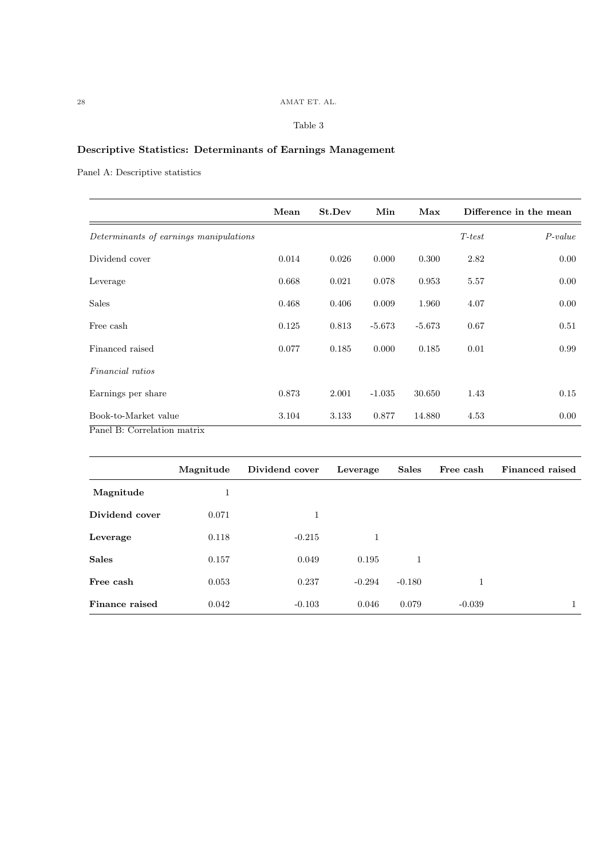# $28$   $\,$  AMAT ET. AL.

# Table 3

# Descriptive Statistics: Determinants of Earnings Management

Panel A: Descriptive statistics

|                                        | Mean  | St.Dev | Min      | Max      |          | Difference in the mean |
|----------------------------------------|-------|--------|----------|----------|----------|------------------------|
| Determinants of earnings manipulations |       |        |          |          | $T-test$ | $P-value$              |
| Dividend cover                         | 0.014 | 0.026  | 0.000    | 0.300    | 2.82     | 0.00                   |
| Leverage                               | 0.668 | 0.021  | 0.078    | 0.953    | 5.57     | 0.00                   |
| <b>Sales</b>                           | 0.468 | 0.406  | 0.009    | 1.960    | 4.07     | 0.00                   |
| Free cash                              | 0.125 | 0.813  | $-5.673$ | $-5.673$ | 0.67     | 0.51                   |
| Financed raised                        | 0.077 | 0.185  | 0.000    | 0.185    | 0.01     | 0.99                   |
| <i>Financial ratios</i>                |       |        |          |          |          |                        |
| Earnings per share                     | 0.873 | 2.001  | $-1.035$ | 30.650   | 1.43     | 0.15                   |
| Book-to-Market value                   | 3.104 | 3.133  | 0.877    | 14.880   | 4.53     | 0.00                   |
| Panel B: Correlation matrix            |       |        |          |          |          |                        |

|                | Magnitude | Dividend cover | Leverage | <b>Sales</b> | Free cash | Financed raised |
|----------------|-----------|----------------|----------|--------------|-----------|-----------------|
| Magnitude      |           |                |          |              |           |                 |
| Dividend cover | 0.071     | 1              |          |              |           |                 |
| Leverage       | 0.118     | $-0.215$       |          |              |           |                 |
| <b>Sales</b>   | 0.157     | 0.049          | 0.195    |              |           |                 |
| Free cash      | 0.053     | 0.237          | $-0.294$ | $-0.180$     | 1         |                 |
| Finance raised | 0.042     | $-0.103$       | 0.046    | 0.079        | $-0.039$  |                 |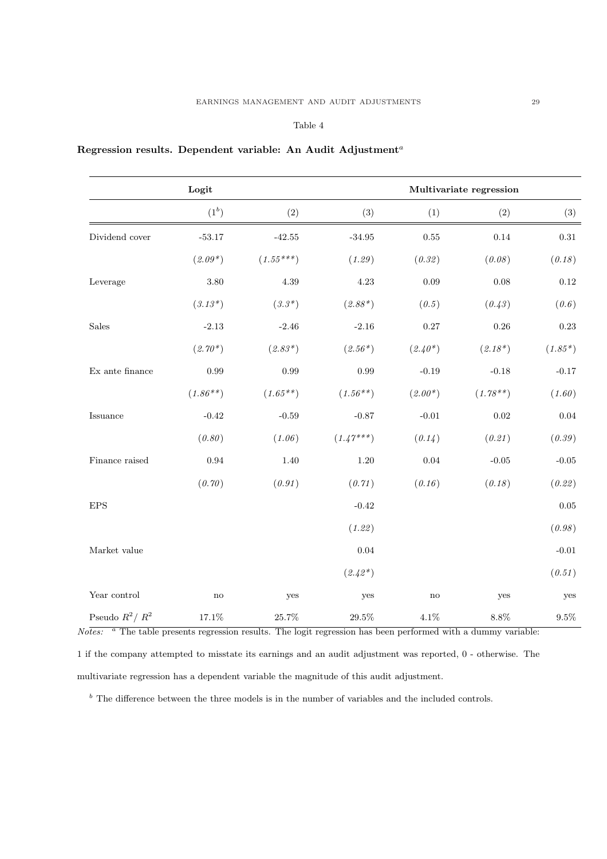## Table 4

## Regression results. Dependent variable: An Audit Adjustment<sup>a</sup>

| Logit                               |               |                   |             | Multivariate regression |            |                |  |  |
|-------------------------------------|---------------|-------------------|-------------|-------------------------|------------|----------------|--|--|
|                                     | $(1^b)$       | (2)               | (3)         | (1)                     | (2)        | (3)            |  |  |
| Dividend cover                      | $-53.17$      | $\textbf{-42.55}$ | $-34.95$    | $0.55\,$                | 0.14       | $\rm 0.31$     |  |  |
|                                     | $(2.09*)$     | $(1.55***)$       | (1.29)      | (0.32)                  | (0.08)     | (0.18)         |  |  |
| Leverage                            | 3.80          | $4.39\,$          | 4.23        | 0.09                    | 0.08       | $0.12\,$       |  |  |
|                                     | $(3.13*)$     | $(3.3*)$          | $(2.88*)$   | (0.5)                   | (0.43)     | (0.6)          |  |  |
| Sales                               | $-2.13$       | $-2.46$           | $-2.16$     | $0.27\,$                | 0.26       | $0.23\,$       |  |  |
|                                     | $(2.70*)$     | $(2.83*)$         | $(2.56*)$   | $(2.40*)$               | $(2.18*)$  | $(1.85*)$      |  |  |
| $\mathop{\textrm{Ex}}$ ante finance | 0.99          | 0.99              | 0.99        | $-0.19$                 | $-0.18$    | $-0.17$        |  |  |
|                                     | $(1.86**)$    | $(1.65**)$        | $(1.56**)$  | $(2.00*)$               | $(1.78**)$ | (1.60)         |  |  |
| Issuance                            | $-0.42$       | $-0.59$           | $-0.87$     | $-0.01$                 | 0.02       | $0.04\,$       |  |  |
|                                     | (0.80)        | (1.06)            | $(1.47***)$ | (0.14)                  | (0.21)     | (0.39)         |  |  |
| Finance raised                      | 0.94          | 1.40              | 1.20        | $0.04\,$                | $-0.05$    | $\text{-}0.05$ |  |  |
|                                     | (0.70)        | (0.91)            | (0.71)      | (0.16)                  | (0.18)     | (0.22)         |  |  |
| <b>EPS</b>                          |               |                   | $-0.42$     |                         |            | $0.05\,$       |  |  |
|                                     |               |                   | (1.22)      |                         |            | (0.98)         |  |  |
| Market value                        |               |                   | 0.04        |                         |            | $-0.01$        |  |  |
|                                     |               |                   | $(2.42*)$   |                         |            | (0.51)         |  |  |
| Year control                        | $\mathbf{no}$ | yes               | yes         | $\mathbf{no}$           | yes        | yes            |  |  |
| Pseudo $R^2/R^2$                    | $17.1\%$      | $25.7\%$          | $29.5\%$    | $4.1\%$                 | $8.8\%$    | $9.5\%$        |  |  |

 $No$  The table presents regression results. The logit regression has been performed with a dummy variable:

1 if the company attempted to misstate its earnings and an audit adjustment was reported, 0 - otherwise. The multivariate regression has a dependent variable the magnitude of this audit adjustment.

 $<sup>b</sup>$  The difference between the three models is in the number of variables and the included controls.</sup>